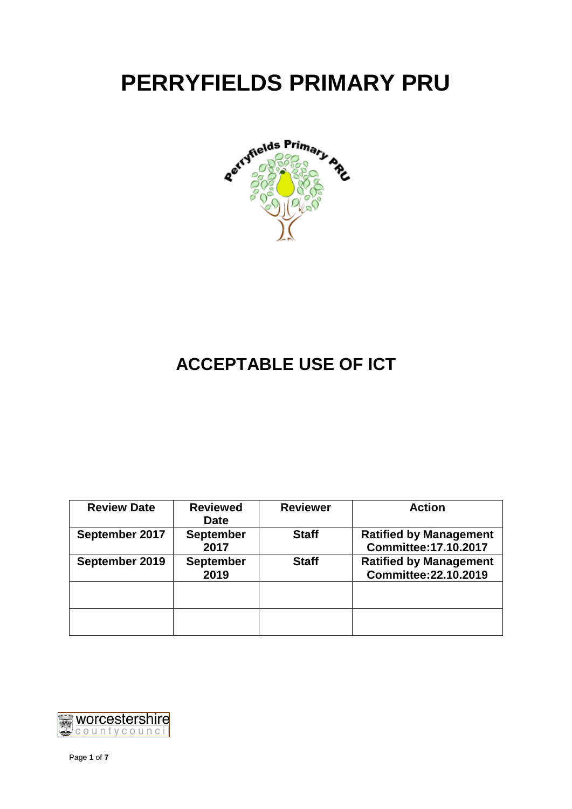# **PERRYFIELDS PRIMARY PRU**



# **ACCEPTABLE USE OF ICT**

| <b>Review Date</b> | <b>Reviewed</b><br><b>Date</b> | <b>Reviewer</b> | <b>Action</b>                                                 |
|--------------------|--------------------------------|-----------------|---------------------------------------------------------------|
| September 2017     | <b>September</b><br>2017       | <b>Staff</b>    | <b>Ratified by Management</b><br><b>Committee: 17.10.2017</b> |
| September 2019     | <b>September</b><br>2019       | <b>Staff</b>    | <b>Ratified by Management</b><br>Committee: 22.10.2019        |
|                    |                                |                 |                                                               |
|                    |                                |                 |                                                               |

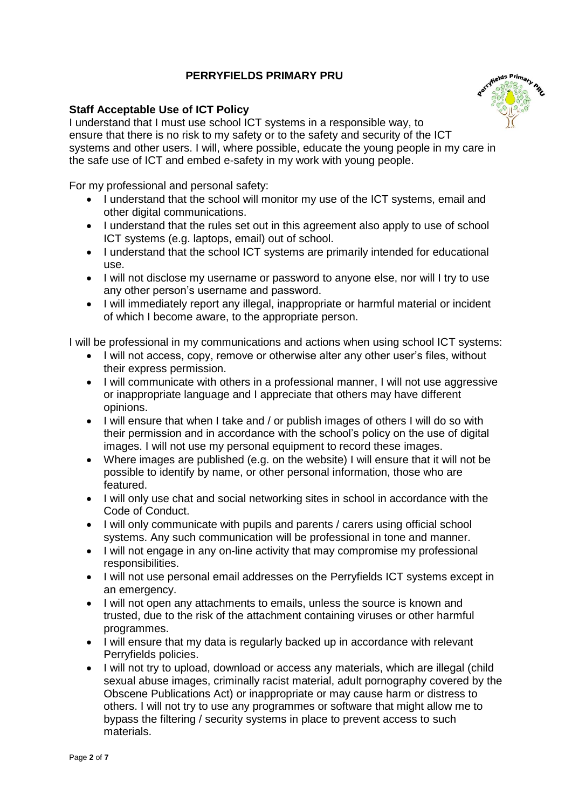# **PERRYFIELDS PRIMARY PRU**

# **Staff Acceptable Use of ICT Policy**



I understand that I must use school ICT systems in a responsible way, to ensure that there is no risk to my safety or to the safety and security of the ICT systems and other users. I will, where possible, educate the young people in my care in the safe use of ICT and embed e-safety in my work with young people.

For my professional and personal safety:

- I understand that the school will monitor my use of the ICT systems, email and other digital communications.
- I understand that the rules set out in this agreement also apply to use of school ICT systems (e.g. laptops, email) out of school.
- I understand that the school ICT systems are primarily intended for educational use.
- I will not disclose my username or password to anyone else, nor will I try to use any other person's username and password.
- I will immediately report any illegal, inappropriate or harmful material or incident of which I become aware, to the appropriate person.

I will be professional in my communications and actions when using school ICT systems:

- I will not access, copy, remove or otherwise alter any other user's files, without their express permission.
- I will communicate with others in a professional manner, I will not use aggressive or inappropriate language and I appreciate that others may have different opinions.
- I will ensure that when I take and / or publish images of others I will do so with their permission and in accordance with the school's policy on the use of digital images. I will not use my personal equipment to record these images.
- Where images are published (e.g. on the website) I will ensure that it will not be possible to identify by name, or other personal information, those who are featured.
- I will only use chat and social networking sites in school in accordance with the Code of Conduct.
- I will only communicate with pupils and parents / carers using official school systems. Any such communication will be professional in tone and manner.
- I will not engage in any on-line activity that may compromise my professional responsibilities.
- I will not use personal email addresses on the Perryfields ICT systems except in an emergency.
- I will not open any attachments to emails, unless the source is known and trusted, due to the risk of the attachment containing viruses or other harmful programmes.
- I will ensure that my data is regularly backed up in accordance with relevant Perryfields policies.
- I will not try to upload, download or access any materials, which are illegal (child sexual abuse images, criminally racist material, adult pornography covered by the Obscene Publications Act) or inappropriate or may cause harm or distress to others. I will not try to use any programmes or software that might allow me to bypass the filtering / security systems in place to prevent access to such materials.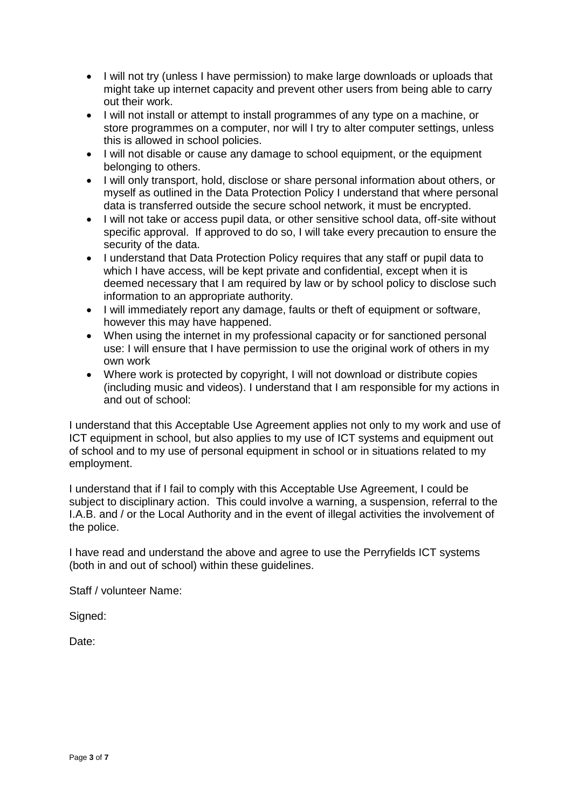- I will not try (unless I have permission) to make large downloads or uploads that might take up internet capacity and prevent other users from being able to carry out their work.
- I will not install or attempt to install programmes of any type on a machine, or store programmes on a computer, nor will I try to alter computer settings, unless this is allowed in school policies.
- I will not disable or cause any damage to school equipment, or the equipment belonging to others.
- I will only transport, hold, disclose or share personal information about others, or myself as outlined in the Data Protection Policy I understand that where personal data is transferred outside the secure school network, it must be encrypted.
- I will not take or access pupil data, or other sensitive school data, off-site without specific approval. If approved to do so, I will take every precaution to ensure the security of the data.
- I understand that Data Protection Policy requires that any staff or pupil data to which I have access, will be kept private and confidential, except when it is deemed necessary that I am required by law or by school policy to disclose such information to an appropriate authority.
- I will immediately report any damage, faults or theft of equipment or software, however this may have happened.
- When using the internet in my professional capacity or for sanctioned personal use: I will ensure that I have permission to use the original work of others in my own work
- Where work is protected by copyright, I will not download or distribute copies (including music and videos). I understand that I am responsible for my actions in and out of school:

I understand that this Acceptable Use Agreement applies not only to my work and use of ICT equipment in school, but also applies to my use of ICT systems and equipment out of school and to my use of personal equipment in school or in situations related to my employment.

I understand that if I fail to comply with this Acceptable Use Agreement, I could be subject to disciplinary action. This could involve a warning, a suspension, referral to the I.A.B. and / or the Local Authority and in the event of illegal activities the involvement of the police.

I have read and understand the above and agree to use the Perryfields ICT systems (both in and out of school) within these guidelines.

Staff / volunteer Name:

Signed:

Date: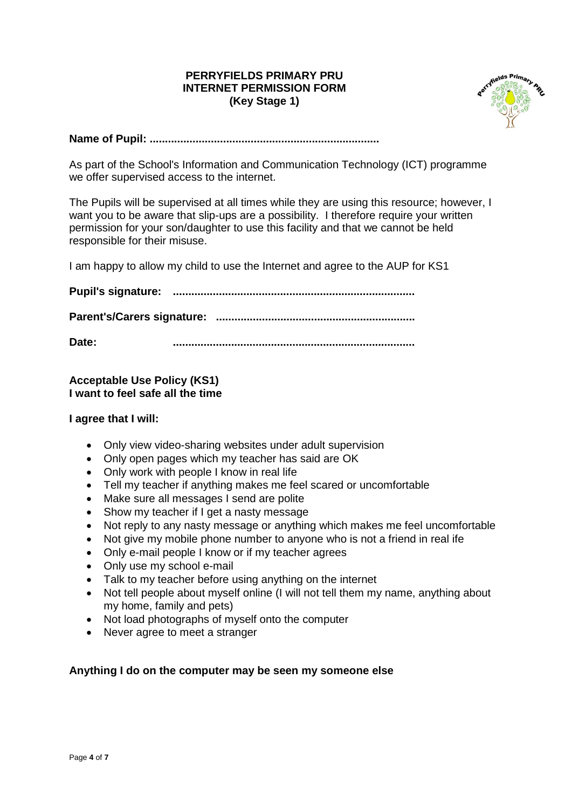# **PERRYFIELDS PRIMARY PRU INTERNET PERMISSION FORM (Key Stage 1)**



**Name of Pupil: ...........................................................................**

As part of the School's Information and Communication Technology (ICT) programme we offer supervised access to the internet.

The Pupils will be supervised at all times while they are using this resource; however, I want you to be aware that slip-ups are a possibility. I therefore require your written permission for your son/daughter to use this facility and that we cannot be held responsible for their misuse.

I am happy to allow my child to use the Internet and agree to the AUP for KS1

**Pupil's signature: ............................................................................... Parent's/Carers signature: .................................................................**

**Date: ...............................................................................**

# **Acceptable Use Policy (KS1) I want to feel safe all the time**

#### **I agree that I will:**

- Only view video-sharing websites under adult supervision
- Only open pages which my teacher has said are OK
- Only work with people I know in real life
- Tell my teacher if anything makes me feel scared or uncomfortable
- Make sure all messages I send are polite
- Show my teacher if I get a nasty message
- Not reply to any nasty message or anything which makes me feel uncomfortable
- Not give my mobile phone number to anyone who is not a friend in real ife
- Only e-mail people I know or if my teacher agrees
- Only use my school e-mail
- Talk to my teacher before using anything on the internet
- Not tell people about myself online (I will not tell them my name, anything about my home, family and pets)
- Not load photographs of myself onto the computer
- Never agree to meet a stranger

# **Anything I do on the computer may be seen my someone else**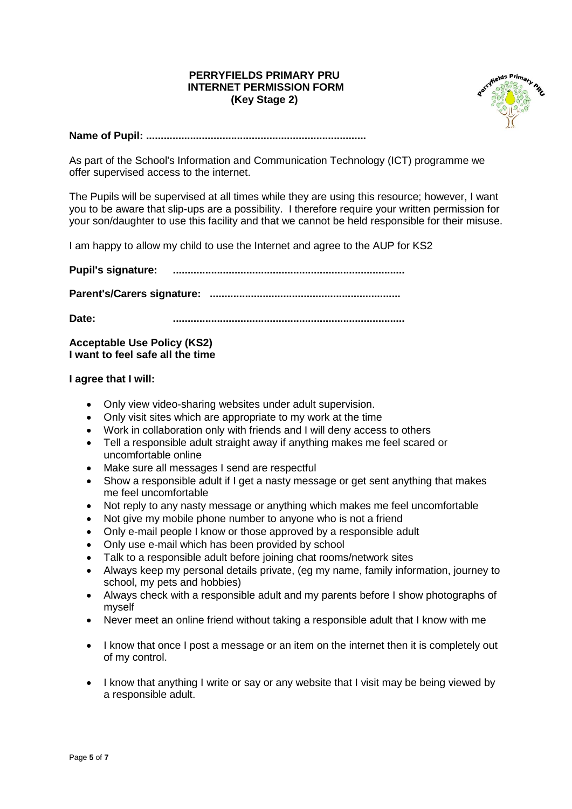#### **PERRYFIELDS PRIMARY PRU INTERNET PERMISSION FORM (Key Stage 2)**



#### **Name of Pupil: ...........................................................................**

As part of the School's Information and Communication Technology (ICT) programme we offer supervised access to the internet.

The Pupils will be supervised at all times while they are using this resource; however, I want you to be aware that slip-ups are a possibility. I therefore require your written permission for your son/daughter to use this facility and that we cannot be held responsible for their misuse.

I am happy to allow my child to use the Internet and agree to the AUP for KS2

**Pupil's signature: ...............................................................................**

**Parent's/Carers signature: .................................................................**

**Date: ...............................................................................**

#### **Acceptable Use Policy (KS2) I want to feel safe all the time**

#### **I agree that I will:**

- Only view video-sharing websites under adult supervision.
- Only visit sites which are appropriate to my work at the time
- Work in collaboration only with friends and I will deny access to others
- Tell a responsible adult straight away if anything makes me feel scared or uncomfortable online
- Make sure all messages I send are respectful
- Show a responsible adult if I get a nasty message or get sent anything that makes me feel uncomfortable
- Not reply to any nasty message or anything which makes me feel uncomfortable
- Not give my mobile phone number to anyone who is not a friend
- Only e-mail people I know or those approved by a responsible adult
- Only use e-mail which has been provided by school
- Talk to a responsible adult before joining chat rooms/network sites
- Always keep my personal details private, (eg my name, family information, journey to school, my pets and hobbies)
- Always check with a responsible adult and my parents before I show photographs of myself
- Never meet an online friend without taking a responsible adult that I know with me
- I know that once I post a message or an item on the internet then it is completely out of my control.
- I know that anything I write or say or any website that I visit may be being viewed by a responsible adult.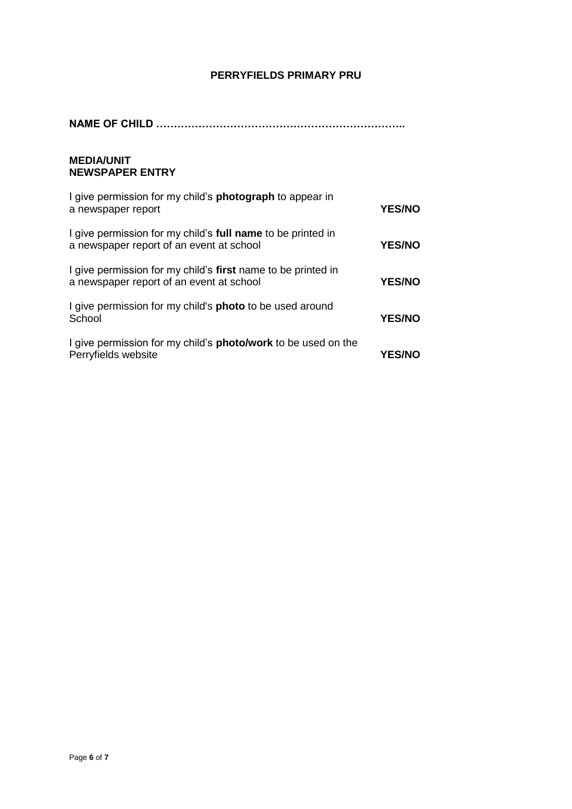# **PERRYFIELDS PRIMARY PRU**

**NAME OF CHILD ……………………………………………………………..**

#### **MEDIA/UNIT NEWSPAPER ENTRY**

| I give permission for my child's <b>photograph</b> to appear in<br>a newspaper report                    | <b>YES/NO</b> |
|----------------------------------------------------------------------------------------------------------|---------------|
| I give permission for my child's full name to be printed in<br>a newspaper report of an event at school  | <b>YES/NO</b> |
| I give permission for my child's first name to be printed in<br>a newspaper report of an event at school | <b>YES/NO</b> |
| I give permission for my child's <b>photo</b> to be used around<br>School                                | <b>YES/NO</b> |
| I give permission for my child's <b>photo/work</b> to be used on the<br>Perryfields website              | <b>YES/NO</b> |